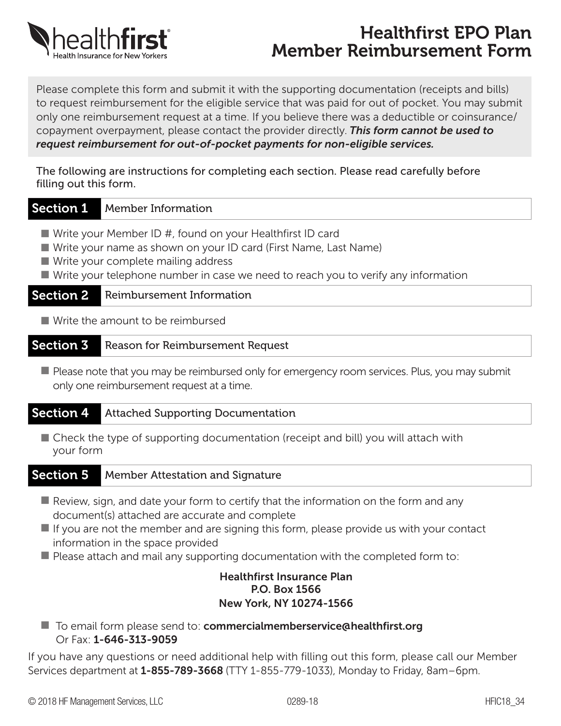

# Healthfirst EPO Plan Member Reimbursement Form

Please complete this form and submit it with the supporting documentation (receipts and bills) to request reimbursement for the eligible service that was paid for out of pocket. You may submit only one reimbursement request at a time. If you believe there was a deductible or coinsurance/ copayment overpayment, please contact the provider directly. *This form cannot be used to request reimbursement for out-of-pocket payments for non-eligible services.*

The following are instructions for completing each section. Please read carefully before filling out this form.

### Section 1 Member Information

- Write your Member ID #, found on your Healthfirst ID card
- Write your name as shown on your ID card (First Name, Last Name)
- $\blacksquare$  Write your complete mailing address

■ Write your telephone number in case we need to reach you to verify any information

### **Section 2** Reimbursement Information

 $\blacksquare$  Write the amount to be reimbursed

#### Section 3 Reason for Reimbursement Request

 $\blacksquare$  Please note that you may be reimbursed only for emergency room services. Plus, you may submit only one reimbursement request at a time.

### Section 4 Attached Supporting Documentation

 $\blacksquare$  Check the type of supporting documentation (receipt and bill) you will attach with your form

### Section 5 Member Attestation and Signature

- $\blacksquare$  Review, sign, and date your form to certify that the information on the form and any document(s) attached are accurate and complete
- $\blacksquare$  If you are not the member and are signing this form, please provide us with your contact information in the space provided
- $\blacksquare$  Please attach and mail any supporting documentation with the completed form to:

#### Healthfirst Insurance Plan P.O. Box 1566 New York, NY 10274-1566

■ To email form please send to: commercialmemberservice@healthfirst.org Or Fax: 1-646-313-9059

If you have any questions or need additional help with filling out this form, please call our Member Services department at **1-855-789-3668** (TTY 1-855-779-1033), Monday to Friday, 8am–6pm.